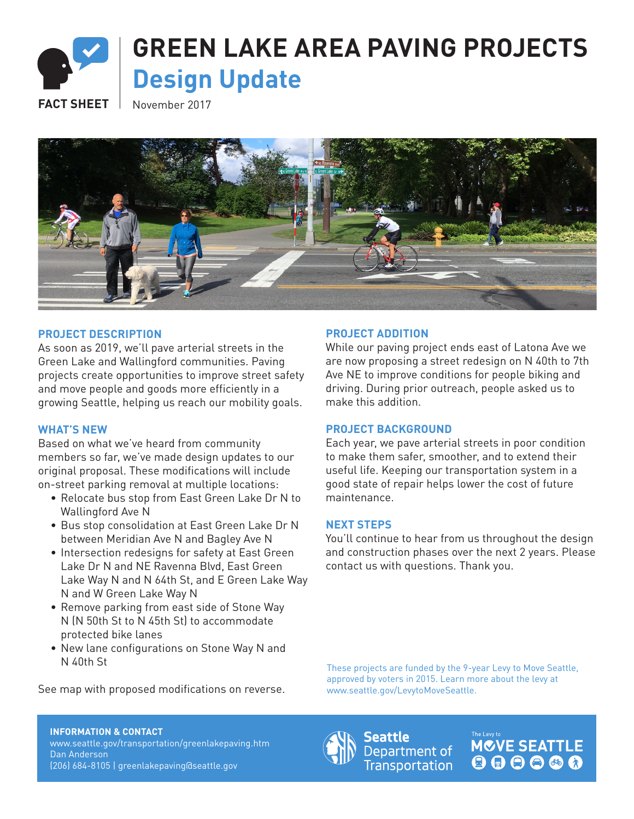

# **GREEN LAKE AREA PAVING PROJECTS Design Update**

FACT SHEET November 2017



## **PROJECT DESCRIPTION**

As soon as 2019, we'll pave arterial streets in the Green Lake and Wallingford communities. Paving projects create opportunities to improve street safety and move people and goods more efficiently in a growing Seattle, helping us reach our mobility goals.

### **WHAT'S NEW**

Based on what we've heard from community members so far, we've made design updates to our original proposal. These modifications will include on-street parking removal at multiple locations:

- Relocate bus stop from East Green Lake Dr N to Wallingford Ave N
- Bus stop consolidation at East Green Lake Dr N between Meridian Ave N and Bagley Ave N
- Intersection redesigns for safety at East Green Lake Dr N and NE Ravenna Blvd, East Green Lake Way N and N 64th St, and E Green Lake Way N and W Green Lake Way N
- Remove parking from east side of Stone Way N (N 50th St to N 45th St) to accommodate protected bike lanes
- New lane configurations on Stone Way N and N 40th St

See map with proposed modifications on reverse.

#### **PROJECT ADDITION**

While our paving project ends east of Latona Ave we are now proposing a street redesign on N 40th to 7th Ave NE to improve conditions for people biking and driving. During prior outreach, people asked us to make this addition.

#### **PROJECT BACKGROUND**

Each year, we pave arterial streets in poor condition to make them safer, smoother, and to extend their useful life. Keeping our transportation system in a good state of repair helps lower the cost of future maintenance.

#### **NEXT STEPS**

You'll continue to hear from us throughout the design and construction phases over the next 2 years. Please contact us with questions. Thank you.

These projects are funded by the 9-year Levy to Move Seattle, approved by voters in 2015. Learn more about the levy at www.seattle.gov/LevytoMoveSeattle.

#### **INFORMATION & CONTACT** www.seattle.gov/transportation/greenlakepaving.htm

Dan Anderson (206) 684-8105 | greenlakepaving@seattle.gov



Seattle Department of **Transportation**  **MCVE SEATTLE** 000000